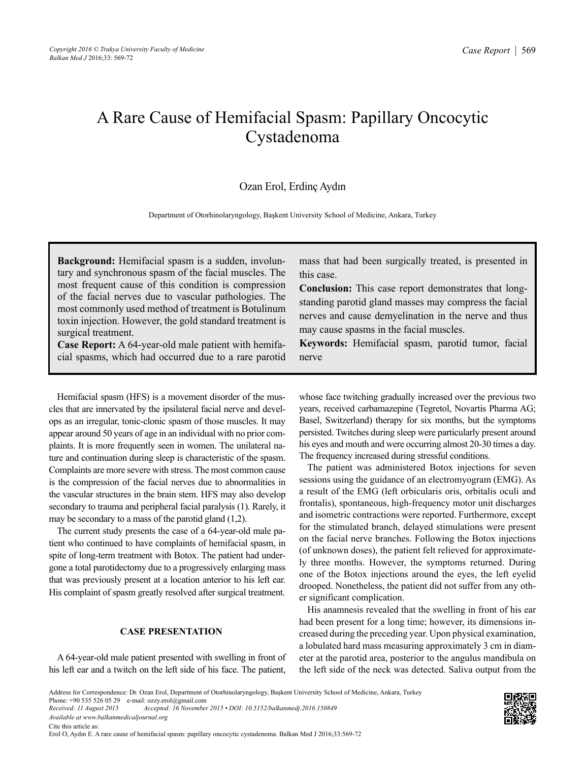# A Rare Cause of Hemifacial Spasm: Papillary Oncocytic Cystadenoma

# Ozan Erol, Erdinç Aydın

Department of Otorhinolaryngology, Başkent University School of Medicine, Ankara, Turkey

**Background:** Hemifacial spasm is a sudden, involuntary and synchronous spasm of the facial muscles. The most frequent cause of this condition is compression of the facial nerves due to vascular pathologies. The most commonly used method of treatment is Botulinum toxin injection. However, the gold standard treatment is surgical treatment.

**Case Report:** A 64-year-old male patient with hemifacial spasms, which had occurred due to a rare parotid

Hemifacial spasm (HFS) is a movement disorder of the muscles that are innervated by the ipsilateral facial nerve and develops as an irregular, tonic-clonic spasm of those muscles. It may appear around 50 years of age in an individual with no prior complaints. It is more frequently seen in women. The unilateral nature and continuation during sleep is characteristic of the spasm. Complaints are more severe with stress. The most common cause is the compression of the facial nerves due to abnormalities in the vascular structures in the brain stem. HFS may also develop secondary to trauma and peripheral facial paralysis (1). Rarely, it may be secondary to a mass of the parotid gland (1,2).

The current study presents the case of a 64-year-old male patient who continued to have complaints of hemifacial spasm, in spite of long-term treatment with Botox. The patient had undergone a total parotidectomy due to a progressively enlarging mass that was previously present at a location anterior to his left ear. His complaint of spasm greatly resolved after surgical treatment.

## **CASE PRESENTATION**

A 64-year-old male patient presented with swelling in front of his left ear and a twitch on the left side of his face. The patient,

mass that had been surgically treated, is presented in this case.

**Conclusion:** This case report demonstrates that longstanding parotid gland masses may compress the facial nerves and cause demyelination in the nerve and thus may cause spasms in the facial muscles.

**Keywords:** Hemifacial spasm, parotid tumor, facial nerve

whose face twitching gradually increased over the previous two years, received carbamazepine (Tegretol, Novartis Pharma AG; Basel, Switzerland) therapy for six months, but the symptoms persisted. Twitches during sleep were particularly present around his eyes and mouth and were occurring almost 20-30 times a day. The frequency increased during stressful conditions.

The patient was administered Botox injections for seven sessions using the guidance of an electromyogram (EMG). As a result of the EMG (left orbicularis oris, orbitalis oculi and frontalis), spontaneous, high-frequency motor unit discharges and isometric contractions were reported. Furthermore, except for the stimulated branch, delayed stimulations were present on the facial nerve branches. Following the Botox injections (of unknown doses), the patient felt relieved for approximately three months. However, the symptoms returned. During one of the Botox injections around the eyes, the left eyelid drooped. Nonetheless, the patient did not suffer from any other significant complication.

His anamnesis revealed that the swelling in front of his ear had been present for a long time; however, its dimensions increased during the preceding year. Upon physical examination, a lobulated hard mass measuring approximately 3 cm in diameter at the parotid area, posterior to the angulus mandibula on the left side of the neck was detected. Saliva output from the

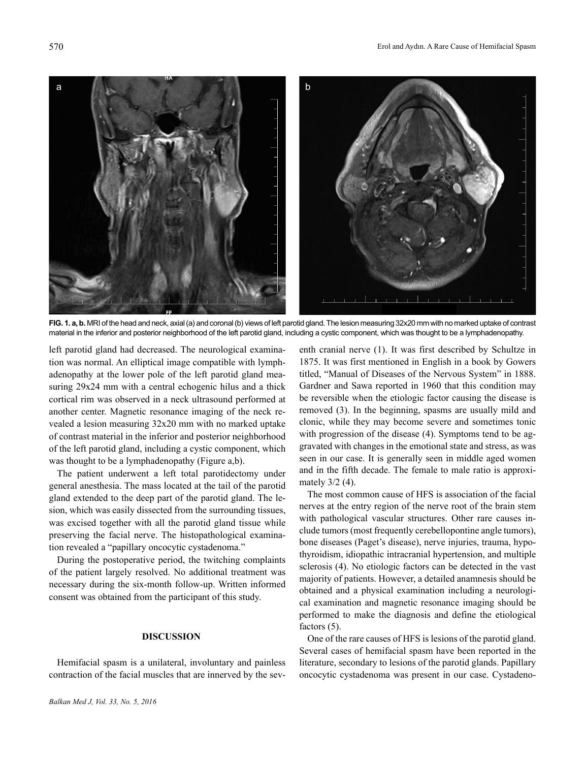

**FIG. 1. a, b.** MRI of the head and neck, axial (a) and coronal (b) views of left parotid gland. The lesion measuring 32x20 mm with no marked uptake of contrast material in the inferior and posterior neighborhood of the left parotid gland, including a cystic component, which was thought to be a lymphadenopathy.

left parotid gland had decreased. The neurological examination was normal. An elliptical image compatible with lymphadenopathy at the lower pole of the left parotid gland measuring 29x24 mm with a central echogenic hilus and a thick cortical rim was observed in a neck ultrasound performed at another center. Magnetic resonance imaging of the neck revealed a lesion measuring 32x20 mm with no marked uptake of contrast material in the inferior and posterior neighborhood of the left parotid gland, including a cystic component, which was thought to be a lymphadenopathy (Figure a,b).

The patient underwent a left total parotidectomy under general anesthesia. The mass located at the tail of the parotid gland extended to the deep part of the parotid gland. The lesion, which was easily dissected from the surrounding tissues, was excised together with all the parotid gland tissue while preserving the facial nerve. The histopathological examination revealed a "papillary oncocytic cystadenoma."

During the postoperative period, the twitching complaints of the patient largely resolved. No additional treatment was necessary during the six-month follow-up. Written informed consent was obtained from the participant of this study.

### **DISCUSSION**

Hemifacial spasm is a unilateral, involuntary and painless contraction of the facial muscles that are innerved by the sev-

enth cranial nerve (1). It was first described by Schultze in 1875. It was first mentioned in English in a book by Gowers titled, "Manual of Diseases of the Nervous System" in 1888. Gardner and Sawa reported in 1960 that this condition may be reversible when the etiologic factor causing the disease is removed (3). In the beginning, spasms are usually mild and clonic, while they may become severe and sometimes tonic with progression of the disease (4). Symptoms tend to be aggravated with changes in the emotional state and stress, as was seen in our case. It is generally seen in middle aged women and in the fifth decade. The female to male ratio is approximately 3/2 (4).

The most common cause of HFS is association of the facial nerves at the entry region of the nerve root of the brain stem with pathological vascular structures. Other rare causes include tumors (most frequently cerebellopontine angle tumors), bone diseases (Paget's disease), nerve injuries, trauma, hypothyroidism, idiopathic intracranial hypertension, and multiple sclerosis (4). No etiologic factors can be detected in the vast majority of patients. However, a detailed anamnesis should be obtained and a physical examination including a neurological examination and magnetic resonance imaging should be performed to make the diagnosis and define the etiological factors (5).

One of the rare causes of HFS is lesions of the parotid gland. Several cases of hemifacial spasm have been reported in the literature, secondary to lesions of the parotid glands. Papillary oncocytic cystadenoma was present in our case. Cystadeno-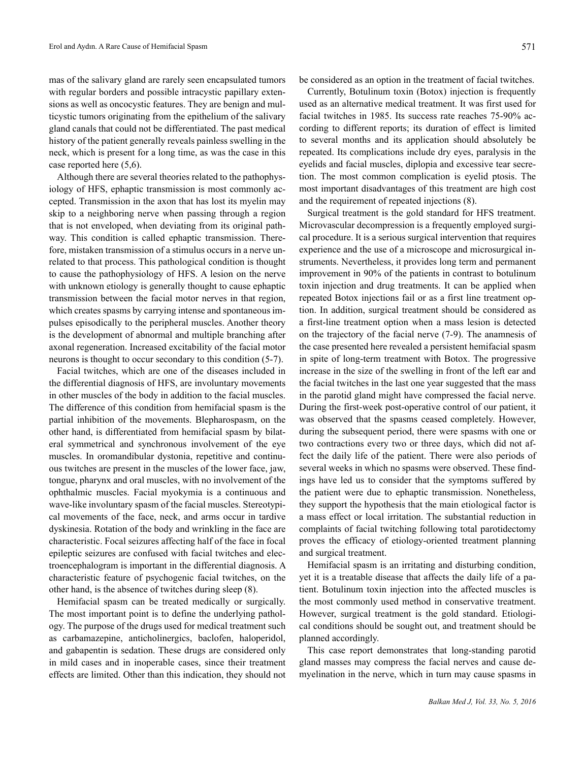mas of the salivary gland are rarely seen encapsulated tumors with regular borders and possible intracystic papillary extensions as well as oncocystic features. They are benign and multicystic tumors originating from the epithelium of the salivary gland canals that could not be differentiated. The past medical history of the patient generally reveals painless swelling in the neck, which is present for a long time, as was the case in this case reported here (5,6).

Although there are several theories related to the pathophysiology of HFS, ephaptic transmission is most commonly accepted. Transmission in the axon that has lost its myelin may skip to a neighboring nerve when passing through a region that is not enveloped, when deviating from its original pathway. This condition is called ephaptic transmission. Therefore, mistaken transmission of a stimulus occurs in a nerve unrelated to that process. This pathological condition is thought to cause the pathophysiology of HFS. A lesion on the nerve with unknown etiology is generally thought to cause ephaptic transmission between the facial motor nerves in that region, which creates spasms by carrying intense and spontaneous impulses episodically to the peripheral muscles. Another theory is the development of abnormal and multiple branching after axonal regeneration. Increased excitability of the facial motor neurons is thought to occur secondary to this condition (5-7).

Facial twitches, which are one of the diseases included in the differential diagnosis of HFS, are involuntary movements in other muscles of the body in addition to the facial muscles. The difference of this condition from hemifacial spasm is the partial inhibition of the movements. Blepharospasm, on the other hand, is differentiated from hemifacial spasm by bilateral symmetrical and synchronous involvement of the eye muscles. In oromandibular dystonia, repetitive and continuous twitches are present in the muscles of the lower face, jaw, tongue, pharynx and oral muscles, with no involvement of the ophthalmic muscles. Facial myokymia is a continuous and wave-like involuntary spasm of the facial muscles. Stereotypical movements of the face, neck, and arms occur in tardive dyskinesia. Rotation of the body and wrinkling in the face are characteristic. Focal seizures affecting half of the face in focal epileptic seizures are confused with facial twitches and electroencephalogram is important in the differential diagnosis. A characteristic feature of psychogenic facial twitches, on the other hand, is the absence of twitches during sleep (8).

Hemifacial spasm can be treated medically or surgically. The most important point is to define the underlying pathology. The purpose of the drugs used for medical treatment such as carbamazepine, anticholinergics, baclofen, haloperidol, and gabapentin is sedation. These drugs are considered only in mild cases and in inoperable cases, since their treatment effects are limited. Other than this indication, they should not

Currently, Botulinum toxin (Botox) injection is frequently used as an alternative medical treatment. It was first used for facial twitches in 1985. Its success rate reaches 75-90% according to different reports; its duration of effect is limited to several months and its application should absolutely be repeated. Its complications include dry eyes, paralysis in the eyelids and facial muscles, diplopia and excessive tear secretion. The most common complication is eyelid ptosis. The most important disadvantages of this treatment are high cost and the requirement of repeated injections (8).

Surgical treatment is the gold standard for HFS treatment. Microvascular decompression is a frequently employed surgical procedure. It is a serious surgical intervention that requires experience and the use of a microscope and microsurgical instruments. Nevertheless, it provides long term and permanent improvement in 90% of the patients in contrast to botulinum toxin injection and drug treatments. It can be applied when repeated Botox injections fail or as a first line treatment option. In addition, surgical treatment should be considered as a first-line treatment option when a mass lesion is detected on the trajectory of the facial nerve (7-9). The anamnesis of the case presented here revealed a persistent hemifacial spasm in spite of long-term treatment with Botox. The progressive increase in the size of the swelling in front of the left ear and the facial twitches in the last one year suggested that the mass in the parotid gland might have compressed the facial nerve. During the first-week post-operative control of our patient, it was observed that the spasms ceased completely. However, during the subsequent period, there were spasms with one or two contractions every two or three days, which did not affect the daily life of the patient. There were also periods of several weeks in which no spasms were observed. These findings have led us to consider that the symptoms suffered by the patient were due to ephaptic transmission. Nonetheless, they support the hypothesis that the main etiological factor is a mass effect or local irritation. The substantial reduction in complaints of facial twitching following total parotidectomy proves the efficacy of etiology-oriented treatment planning and surgical treatment.

Hemifacial spasm is an irritating and disturbing condition, yet it is a treatable disease that affects the daily life of a patient. Botulinum toxin injection into the affected muscles is the most commonly used method in conservative treatment. However, surgical treatment is the gold standard. Etiological conditions should be sought out, and treatment should be planned accordingly.

This case report demonstrates that long-standing parotid gland masses may compress the facial nerves and cause demyelination in the nerve, which in turn may cause spasms in

*Balkan Med J, Vol. 33, No. 5, 2016*